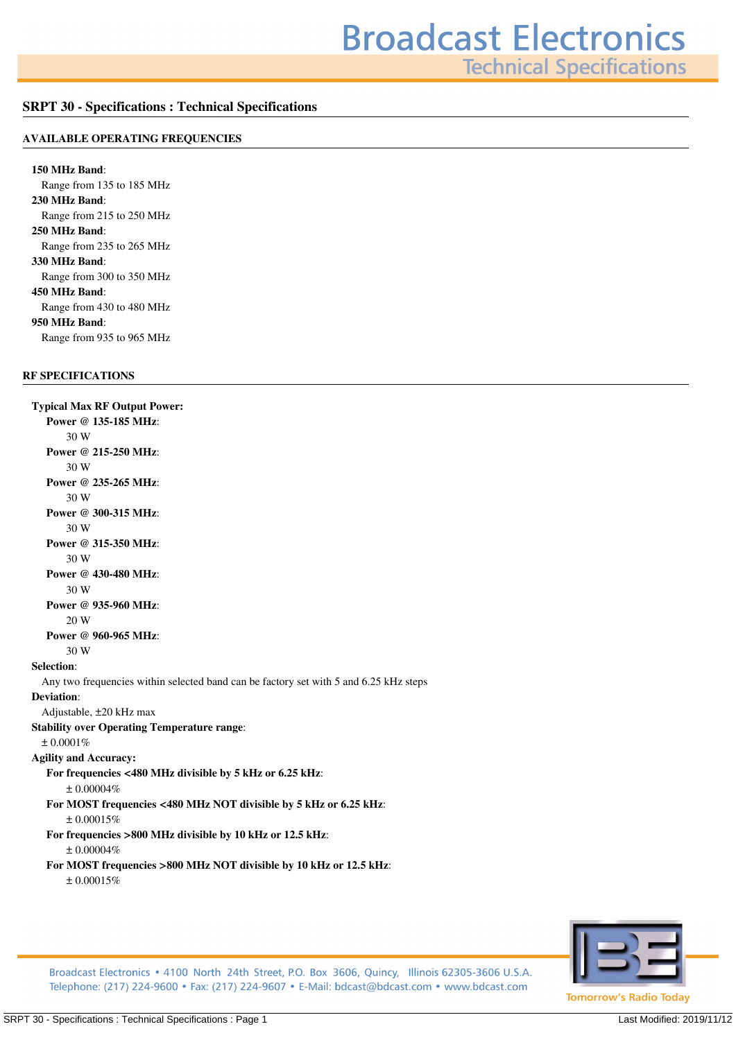**Technical Specifications** 

## **SRPT 30 - Specifications : Technical Specifications**

#### **AVAILABLE OPERATING FREQUENCIES**

**150 MHz Band***: Range from 135 to 185 MHz* **230 MHz Band***: Range from 215 to 250 MHz* **250 MHz Band***: Range from 235 to 265 MHz* **330 MHz Band***: Range from 300 to 350 MHz* **450 MHz Band***: Range from 430 to 480 MHz* **950 MHz Band***: Range from 935 to 965 MHz*

## **RF SPECIFICATIONS**

**Typical Max RF Output Power: Power @ 135-185 MHz***: 30 W* **Power @ 215-250 MHz***: 30 W* **Power @ 235-265 MHz***: 30 W* **Power @ 300-315 MHz***: 30 W* **Power @ 315-350 MHz***: 30 W* **Power @ 430-480 MHz***: 30 W* **Power @ 935-960 MHz***: 20 W* **Power @ 960-965 MHz***: 30 W* **Selection***: Any two frequencies within selected band can be factory set with 5 and 6.25 kHz steps* **Deviation***: Adjustable, ±20 kHz max* **Stability over Operating Temperature range***: ± 0.0001%* **Agility and Accuracy: For frequencies <480 MHz divisible by 5 kHz or 6.25 kHz***: ± 0.00004%* **For MOST frequencies <480 MHz NOT divisible by 5 kHz or 6.25 kHz***: ± 0.00015%* **For frequencies >800 MHz divisible by 10 kHz or 12.5 kHz***: ± 0.00004%* **For MOST frequencies >800 MHz NOT divisible by 10 kHz or 12.5 kHz***: ± 0.00015%*



Broadcast Electronics • 4100 North 24th Street, P.O. Box 3606, Quincy, Illinois 62305-3606 U.S.A. Telephone: (217) 224-9600 • Fax: (217) 224-9607 • E-Mail: bdcast@bdcast.com • www.bdcast.com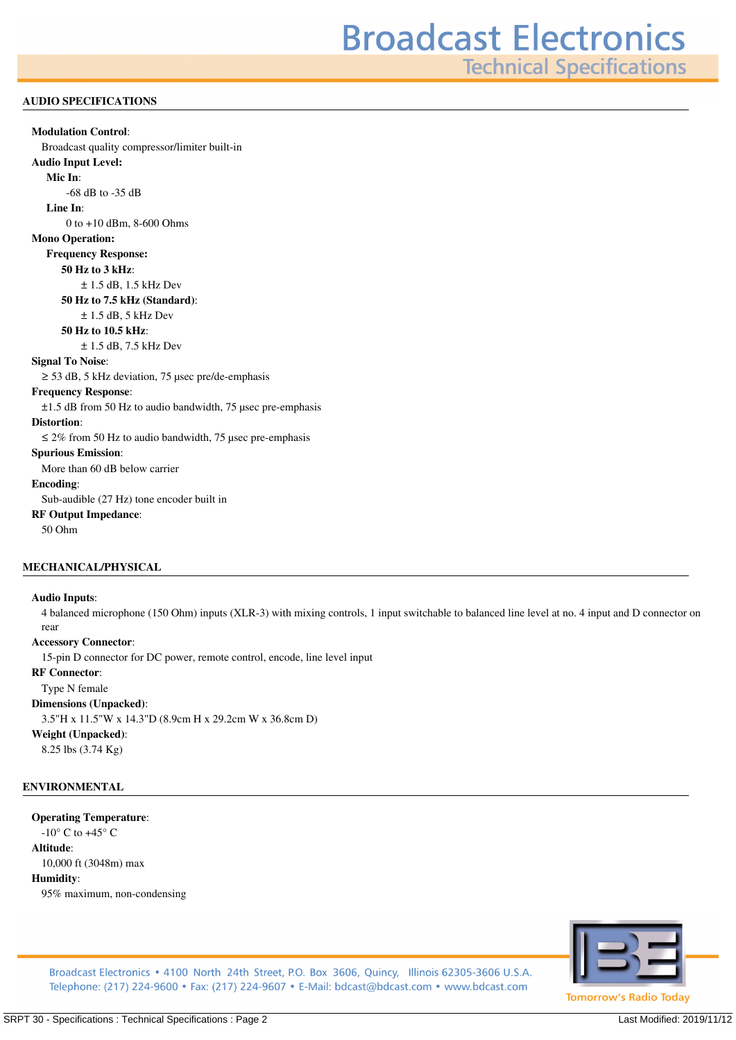**Technical Specifications** 

#### **AUDIO SPECIFICATIONS**

# **Modulation Control***: Broadcast quality compressor/limiter built-in* **Audio Input Level: Mic In***: -68 dB to -35 dB* **Line In***: 0 to +10 dBm, 8-600 Ohms* **Mono Operation: Frequency Response: 50 Hz to 3 kHz***: ± 1.5 dB, 1.5 kHz Dev* **50 Hz to 7.5 kHz (Standard)***: ± 1.5 dB, 5 kHz Dev* **50 Hz to 10.5 kHz***: ± 1.5 dB, 7.5 kHz Dev* **Signal To Noise***: ≥ 53 dB, 5 kHz deviation, 75 µsec pre/de-emphasis* **Frequency Response***: ±1.5 dB from 50 Hz to audio bandwidth, 75 µsec pre-emphasis* **Distortion***: ≤ 2% from 50 Hz to audio bandwidth, 75 µsec pre-emphasis* **Spurious Emission***: More than 60 dB below carrier* **Encoding***: Sub-audible (27 Hz) tone encoder built in* **RF Output Impedance***: 50 Ohm*

#### **MECHANICAL/PHYSICAL**

#### **Audio Inputs***:*

*4 balanced microphone (150 Ohm) inputs (XLR-3) with mixing controls, 1 input switchable to balanced line level at no. 4 input and D connector on rear*

#### **Accessory Connector***:*

*15-pin D connector for DC power, remote control, encode, line level input*

#### **RF Connector***:*

*Type N female*

### **Dimensions (Unpacked)***:*

*3.5"H x 11.5"W x 14.3"D (8.9cm H x 29.2cm W x 36.8cm D)*

## **Weight (Unpacked)***:*

*8.25 lbs (3.74 Kg)*

#### **ENVIRONMENTAL**

#### **Operating Temperature***:*

*-10° C to +45° C* **Altitude***:*

## *10,000 ft (3048m) max*

#### **Humidity***:*

*95% maximum, non-condensing*



Broadcast Electronics • 4100 North 24th Street, P.O. Box 3606, Quincy, Illinois 62305-3606 U.S.A. Telephone: (217) 224-9600 • Fax: (217) 224-9607 • E-Mail: bdcast@bdcast.com • www.bdcast.com